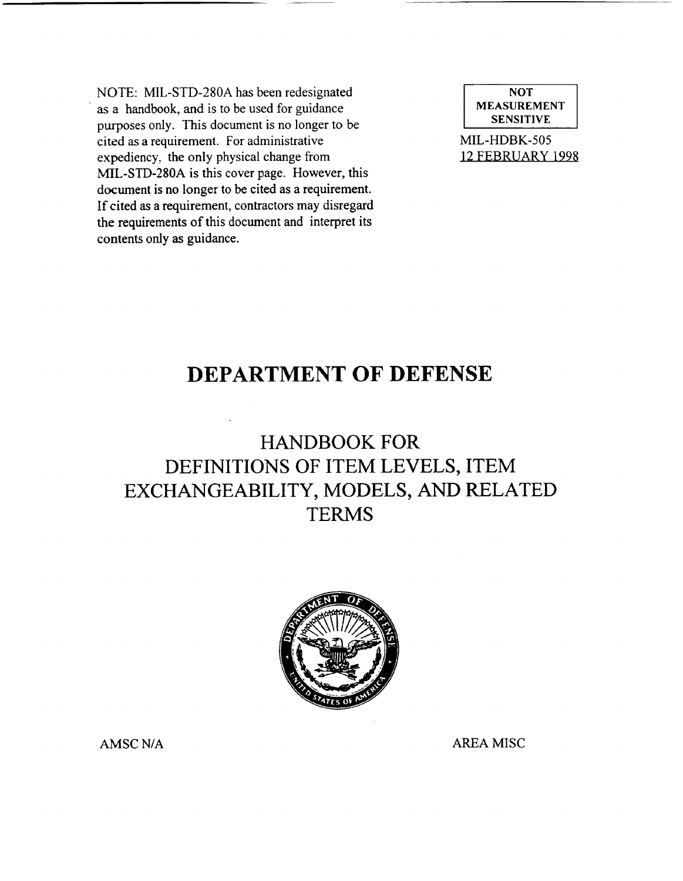NOTE: MIL-STD-280A has been redesignated as a handbook, and is to be used for guidance purposes only. This document is no longer to be cited as a requirement. For administrative expediency, the only physical change from MIL-STD-280A is this cover page. However, this document is no longer to be cited as a requirement. If cited as a requirement, contractors may disregard the requirements of this document and interpret its contents only as guidance.

NOT<br>MEASUREMENT<br>SENSITIVE

MIL-HDBK-505 12 FEBRUARY 1998

## DEPARTMENT OF DEFENSE

# HANDBOOK FOR DEFINITIONS OF ITEM LEVELS, ITEM EXCHANGEABILITY, MODELS, AND RELATED **TERMS**



AMSC N/A AREA MISC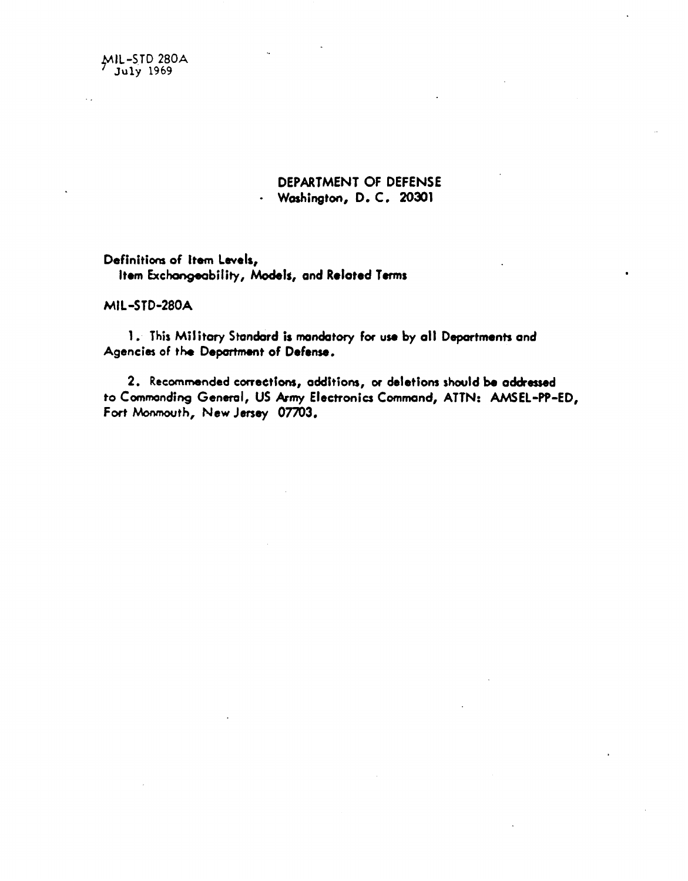MIL-STD 280A

## DEPARTMENT OF DEFENSE · Washington, D. C. 20301

Definitions of Item Levels, Item Exchangeability, Models, and Related Terms

MIL-STD-280A

1. This Military Standard is mandatory for use by all Departments and Agencies of the Department of Defense.

2. Recommended corrections, additions, or deletions should be addressed to Commonding General, US Army Electronics Command, ATTN: AMSEL-PP-ED, Fort Monmouth, New Jersey 07703.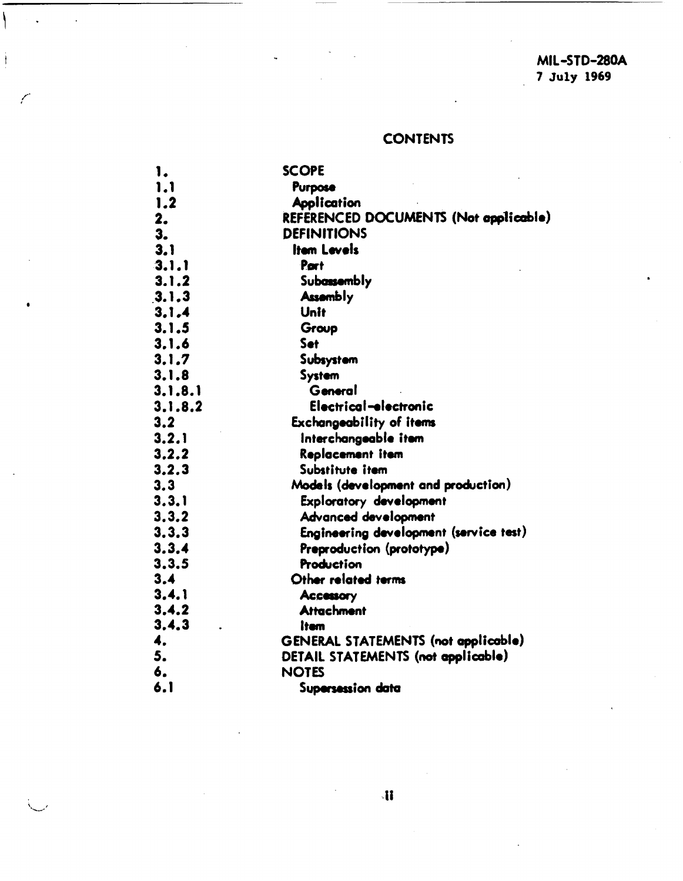## **CONTENTS**

| 1.      | <b>SCOPE</b>                               |  |
|---------|--------------------------------------------|--|
| 1.1     | Purpose                                    |  |
| 1.2     | <b>Application</b>                         |  |
| 2.      | REFERENCED DOCUMENTS (Not applicable)      |  |
| 3.      | <b>DEFINITIONS</b>                         |  |
| 3.1     | Item Levels                                |  |
| 3.1.1   | Port                                       |  |
| 3.1.2   | Subassembly                                |  |
| 3.1.3   | <b>Assembly</b>                            |  |
| 3.1.4   | Unit                                       |  |
| 3.1.5   | Group                                      |  |
| 3.1.6   | Set                                        |  |
| 3.1.7   | Subsystem                                  |  |
| 3.1.8   | System                                     |  |
| 3.1.8.1 | General                                    |  |
| 3.1.8.2 | Electrical-electronic                      |  |
| 3.2     | <b>Exchangeability of items</b>            |  |
| 3.2.1   | Interchangeable item                       |  |
| 3.2.2   | Replacement item                           |  |
| 3.2.3   | Substitute item                            |  |
| 3.3     | Models (development and production)        |  |
| 3.3.1   | Exploratory development                    |  |
| 3.3.2   | Advanced development                       |  |
| 3.3.3   | Engineering development (service test)     |  |
| 3.3.4   | Preproduction (prototype)                  |  |
| 3, 3, 5 | Production                                 |  |
| 3.4     | Other related terms                        |  |
| 3, 4, 1 | <b>Accessory</b>                           |  |
| 3.4.2   | <b>Attachment</b>                          |  |
| 3.4.3   | ltem                                       |  |
| 4.      | <b>GENERAL STATEMENTS (not applicable)</b> |  |
| 5.      | DETAIL STATEMENTS (not applicable)         |  |
| 6.      | <b>NOTES</b>                               |  |
| 6.1     | Supersession data                          |  |

١

 $\frac{1}{2}$ 

Í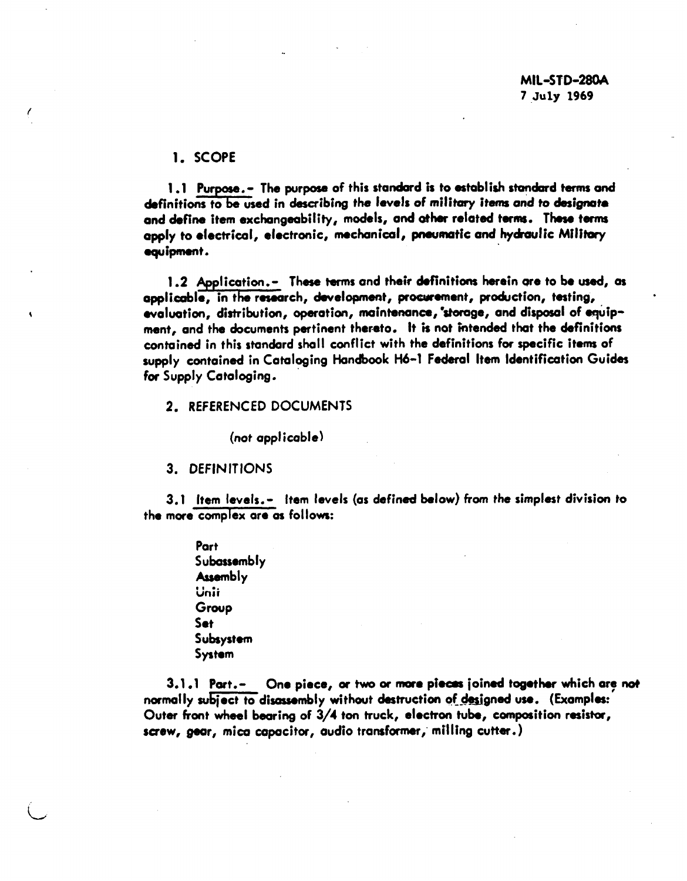#### 1. SCOPE

1.1 Purpose. - The purpose of this standard is to establish standard terms and definitions to be used in describing the levels of military items and to designate and define item exchangeability, models, and ather related terms. These terms apply to electrical, electronic, mechanical, pneumatic and hydraulic Military equipment.

1.2 Application.- These terms and their definitions herein are to be used, as applicable, in the research, development, procurement, production, testing, evaluation, distribution, operation, maintenance, storage, and disposal of equipment, and the documents pertinent thereto. It is not intended that the definitions contained in this standard shall conflict with the definitions for specific items of supply contained in Cataloging Handbook H6-1 Federal Item Identification Guides for Supply Cataloging.

#### 2. REFERENCED DOCUMENTS

(not applicable)

3. DEFINITIONS

 $\mathbf{3.1}\;\;$  [tem levels.—  $\;$  item levels (as defined below) from the simplest division to the mare complex are as follows:

> Part Subassembly **Assembly** .<br>Uni Group Set subsystem System

L

3.1.1 Part.- One piece, or two or more pieces joined together which are not normally subject to disassembly without destruction of designed use. (Examples: Outer hont wheel bearing of 3/4 tan truck, electron tube, composition resistor, screw, gear, mica capacitor, audio transformer, milling cutter.)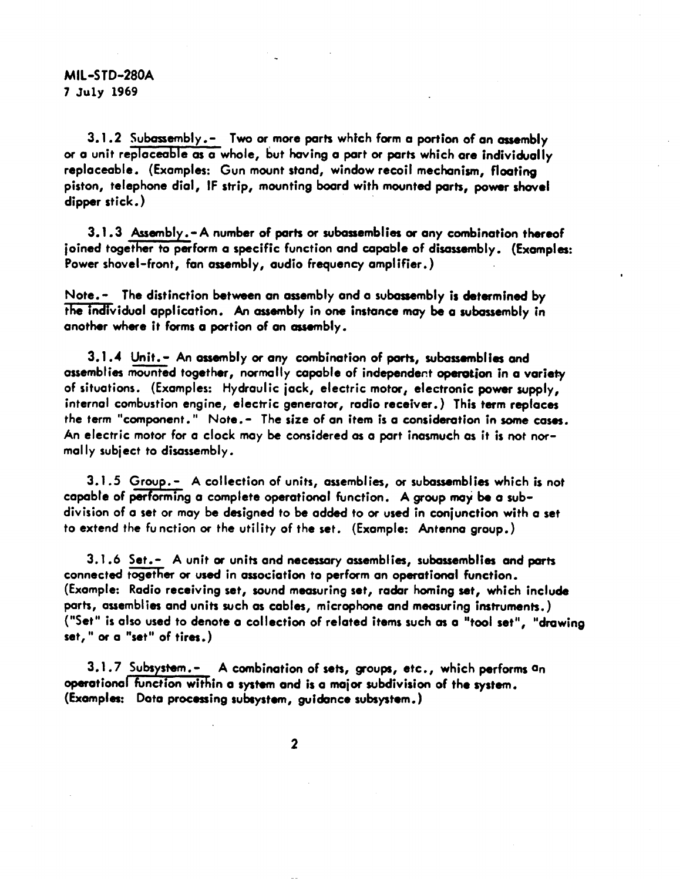### MIL-STD-280A 7 July 1969

3.1.2 Subassembly .- Two or more parts which farm a portion of an assembly or a unit replaceable as a whole, but having a part or parts which are individually replaceable. (Examples: Gun mount stand, window recoil mechanism, floating piston, telephone dial, IF strip, mounting board with mounted parts, power shovel dipper stick. )

3.1.3 Assembly.-A number of parts or subassemblies or any combination thereof joined together to perform a specific function and capable of disassembly. (Examples: Power shovel-front, fan assembly, audio frequency amplifier. )

Note. - The distinction between an assembly and a subassembly is determined by the individual application. An assembly in one instance may be a subassembly in another where it forms a portion of an assembly.

 $3.1.4$  Unit. - An assembly or any combination of parts, subassemblies and assemblies mounted together, normally capable of independent operation in a variety of situations. (Examples: Hydraulic jack, electric motor, electronic power *supply,* internal combustion engine, electric generator, radio receiver.) This term replaces the term "component." Note.- The size of an item is a consideration in some cases. An electric motor for a clock may be considered as a part inasmuch as it is not normally subject to disassembly.

3.1.5 Group.- A collection of units, assemblies, or subassemblies which is not capable of performing a complete operational function. A group may be a subdivision of a set or may be designed to be added to or used In conjunction with a set to extend the function or the utility of the set. (Example: Antenna group. )

 $3.1.6$  Set.- A unit or units and necessary assemblies, subassemblies and parts connected together or used in association to perform an operational function. (Example: Radio receiving set, sound measuring set, radar homing set, which inclu& parts, assemblies and units such as cables, microphone and measuring instruments. ) ("Set" is also used to denote a collection of related items such as a "tool set", "drawing set, " or a "set" of tires. )

operational tunction within a system and is a major subdivision of the system 3.1.7 Subsystem.- A combination of sets, groups, etc., which performs an (Examples: Data processing subsystem, guidance subsystem.)

2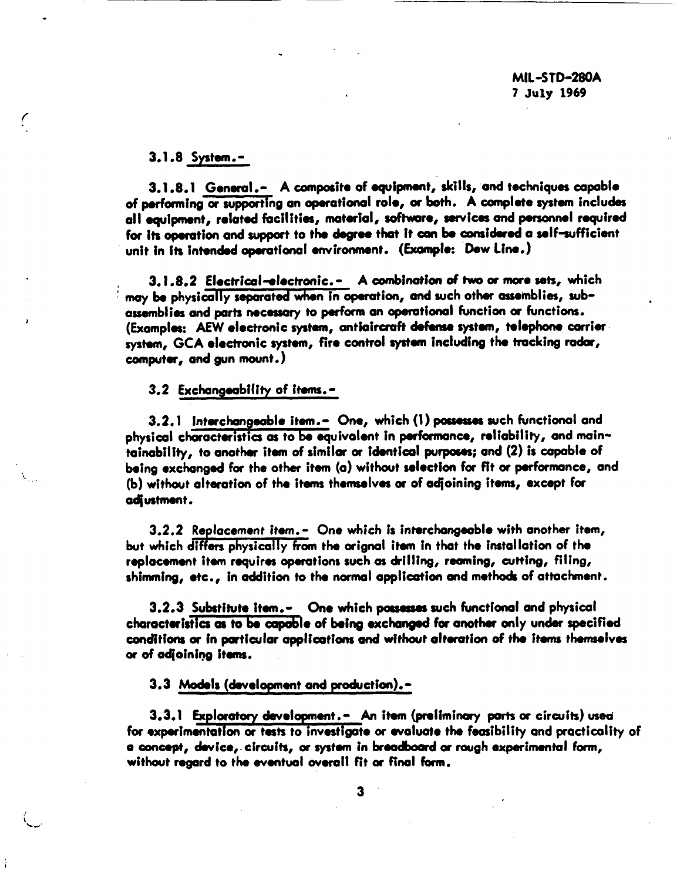3.1.8 System. -

f

J

.

3.1.8.1 General.- A composite of equipment, skills, and techniques capable of performing or supporting an operational rolo, or both. A complete system includes all equipment, related facilities, material, software, services and personnel required for its operation and support to the degree that it can be considered a self-sufficient unit in its intended operational environment. (Example: Dew Line.)

3.1.8.2 Electrical-electronic.- A combination of two or more sets, which may be physically separated when in operation, and such other assemblies, subassemblies and parts necessary to perform an operational function or functions. (Examples: AEW electronic system, antiaircraft defense system, telephone carrier system, GCA electronic system, fire control system including the tracking radar, computer, and gun mount. )

3.2 Exchongeablllty of items. -

 $3.2.1$  Interchangeable item.- One, which (1) possesses such functional and physical characteristics as to be quivalent in performance, reliability, and maintainability, to another item of similar or identical purposes; and (2) is capable of being exchanged for the other item (a) without selection for fit or porformonce, and (b) without alteration of the items themselves or of adjoining items, except for adjustment.

3.2.2 Replacement Item. - One which is interchangeable with another item, but which differs physically from the orignal item in that the installation of the replacement item requires operations such as drilling, reaming, cutting, filing, shimming, etc., in addition to the normal application and methods of attachment.

3.2.3 Substitute item.- One which possesses such functional and physical characteristics as to be capable of being exchanged for another only under specified conditions or in particular applications and without alteration of the items themselves or of adjoining items.

3.3 Models (development and production).-

3.3.1 Exploratory development.- An item (preliminary parts or circuits) used for experimentation or tests to investigate or evaluate the feasibility and practicality of a concept, device, circuits, or system in breadboard or rough experimental form, without regard to the eventual overall fit or final form.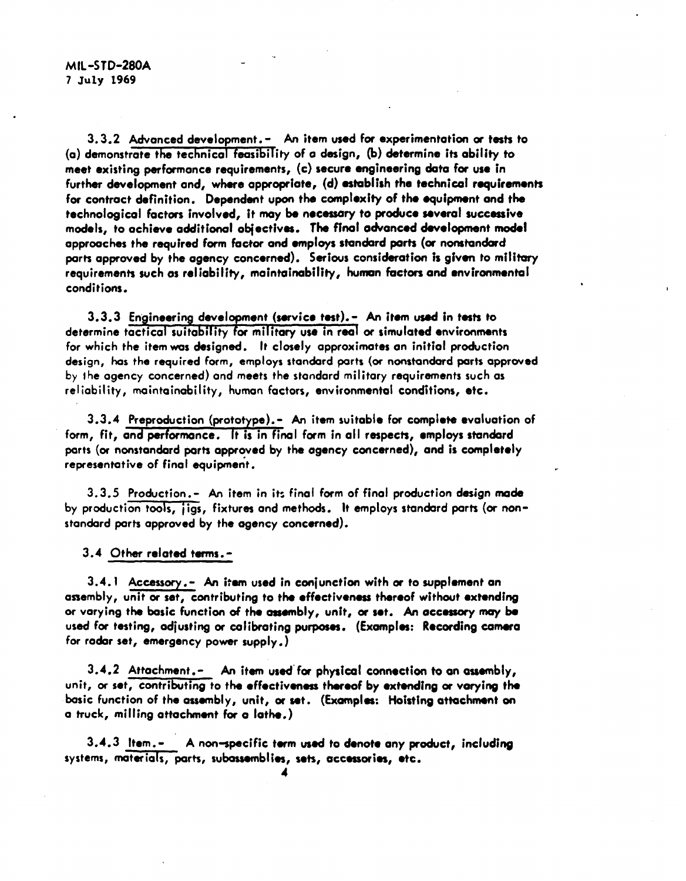3.3.2 Advonced devebpment. - An item used for experimentation or tests to (a) demonstrate the technicol feasibifity of o design, (b) determine its ability to meet existing performance requirements, (c) secure engineering data for use in further development and, where appropriate, (d) establish the technicai requirements for contract definition. Dependent upon the complexity of the quipment and the technological factors involved, it may be necessary to produce severe! successive modeis, to achieve additional objectives. The final advanced development model approaches the required form fac+ar and employs standard parts (or nonstandard parts approved by the agency concerned). Serious consideration Is given to *military* requirements such as reliability, maintainability, human factors and environmental conditions.

..

 $3.3.3$  Engineering development (service test). - An item used in tests to determine tactical suitability for military use in real or simulated environments for which the item was designed. It closely approximates an initial production design, has the required form, employs standard parts (or nonstandard parts approved by the agency concerned) and meets the standard military requirements such as reliability, maintainability, human factors, environmental conditions, etc.

3.3.4 Preproduction (prototype).- An item suitable for complete evaluation of form, fit, and performance. It is in final form in all respects, employs standard ports (or nonstandard parts approved by the agency concerned), and is completely representative of final equipment.

.

3.3.5 Production.- An item in its final form of final production design made by production tools, ; igs, fixtures and methods. It employs standard ports (or nonstandard parts approved by the agency concerned).

3.4 Other related terms .-

3.4.1 Accessory. - An item used in conjunction with or to supplement an assembly, unit or set, contributing to the effectiveness thereof without extending or varying the basic function of the assembly, unit, or set. An accessory may be used for testing, adjusting or calibrating purposes. (Examples: Recording camera for rodar set, emergency power supply. )

 $3.4.2$  Attachment.- An item used for physical connection to an assembly, unit, or set, contributing to the effectiveness thereof by extending or varying the basic function of the assembly, unit, or set. (Examples: Hoisting attachment on a truck, miiiing attachment for a lathe. )

3.4.3 item. - A non~pecific term used to denote any product, inciuding systems, materials, parts, subassemblies, sets, accessories, etc.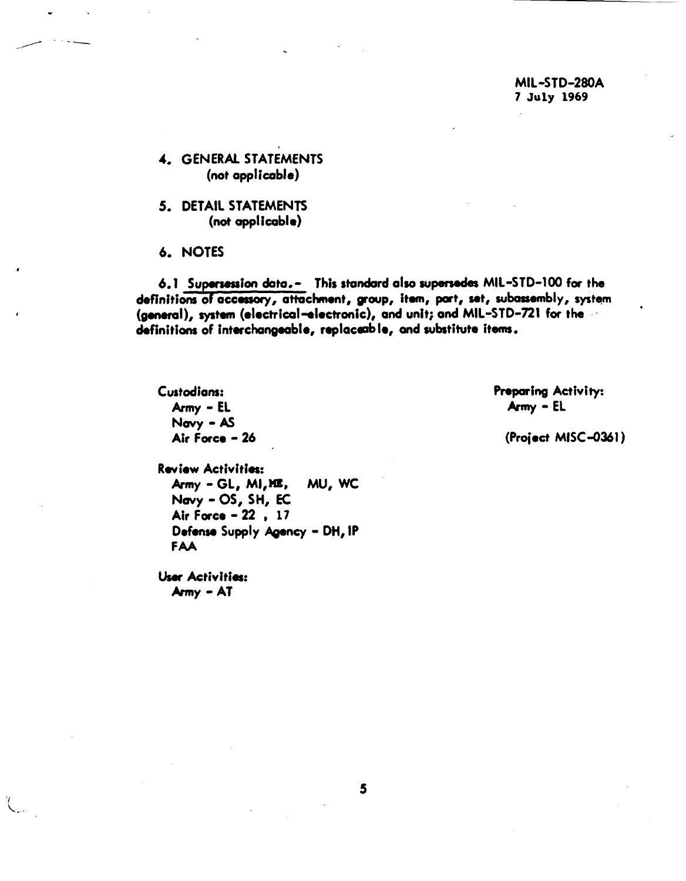MIL-STD-280A 7 July 1969

4. GENERAL STATEMENTS (not applicable)

- 5. DETAIL STATEMENTS (not applicable)
- 6. NOTES

6.1 Supersession data.- This standard also supersedes MIL-STD-100 for the definitions of accessory, attachment, group, item, part, set, subassembly, system (general), system (electrical-electronic), and unit; and MIL-STD-721 for the definitions of interchangeable, replaceable, and substitute items.

Custodians: Army - EL Navy - AS Air Force - 26 Preparing Activity:  $A$ rmy - EL

(Project MISC-0361)

**Review Activities:** Army - GL, MI, ME, MU, WC Navy - OS, SH, EC Air Force - 22, 17 Defense Supply Agency - DH, IP **FAA** 

User Activities: Army - AT